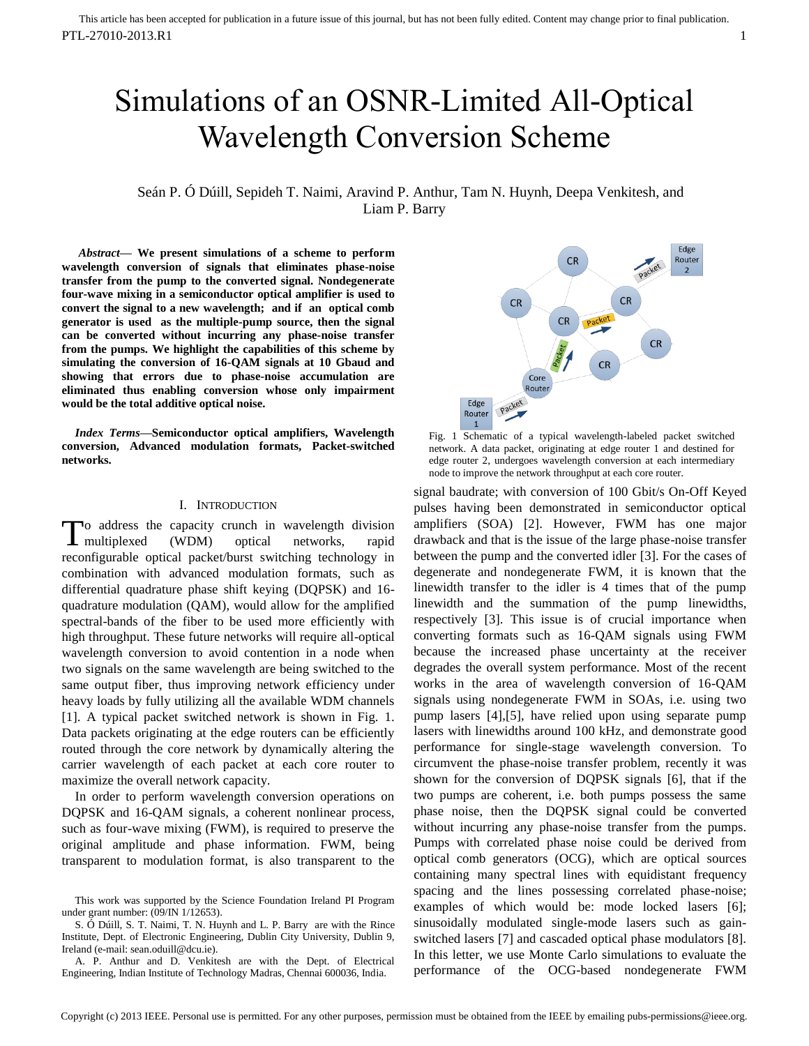# Simulations of an OSNR-Limited All-Optical Wavelength Conversion Scheme

Seán P. Ó Dúill, Sepideh T. Naimi, Aravind P. Anthur, Tam N. Huynh, Deepa Venkitesh, and Liam P. Barry

*Abstract***— We present simulations of a scheme to perform wavelength conversion of signals that eliminates phase-noise transfer from the pump to the converted signal. Nondegenerate four-wave mixing in a semiconductor optical amplifier is used to convert the signal to a new wavelength; and if an optical comb generator is used as the multiple-pump source, then the signal can be converted without incurring any phase-noise transfer from the pumps. We highlight the capabilities of this scheme by simulating the conversion of 16-QAM signals at 10 Gbaud and showing that errors due to phase-noise accumulation are eliminated thus enabling conversion whose only impairment would be the total additive optical noise.** 

*Index Terms***—Semiconductor optical amplifiers, Wavelength conversion, Advanced modulation formats, Packet-switched networks.** 

#### I. INTRODUCTION

o address the capacity crunch in wavelength division multiplexed (WDM) optical networks, rapid reconfigurable optical packet/burst switching technology in combination with advanced modulation formats, such as differential quadrature phase shift keying (DQPSK) and 16 quadrature modulation (QAM), would allow for the amplified spectral-bands of the fiber to be used more efficiently with high throughput. These future networks will require all-optical wavelength conversion to avoid contention in a node when two signals on the same wavelength are being switched to the same output fiber, thus improving network efficiency under heavy loads by fully utilizing all the available WDM channels [\[1\].](#page-3-0) A typical packet switched network is shown in Fig. 1. Data packets originating at the edge routers can be efficiently routed through the core network by dynamically altering the carrier wavelength of each packet at each core router to maximize the overall network capacity. T

In order to perform wavelength conversion operations on DQPSK and 16-QAM signals, a coherent nonlinear process, such as four-wave mixing (FWM), is required to preserve the original amplitude and phase information. FWM, being transparent to modulation format, is also transparent to the



Fig. 1 Schematic of a typical wavelength-labeled packet switched network. A data packet, originating at edge router 1 and destined for edge router 2, undergoes wavelength conversion at each intermediary node to improve the network throughput at each core router.

signal baudrate; with conversion of 100 Gbit/s On-Off Keyed pulses having been demonstrated in semiconductor optical amplifiers (SOA) [\[2\].](#page-3-1) However, FWM has one major drawback and that is the issue of the large phase-noise transfer between the pump and the converted idler [\[3\].](#page-3-2) For the cases of degenerate and nondegenerate FWM, it is known that the linewidth transfer to the idler is 4 times that of the pump linewidth and the summation of the pump linewidths, respectively [\[3\].](#page-3-2) This issue is of crucial importance when converting formats such as 16-QAM signals using FWM because the increased phase uncertainty at the receiver degrades the overall system performance. Most of the recent works in the area of wavelength conversion of 16-QAM signals using nondegenerate FWM in SOAs, i.e. using two pump lasers [\[4\]](#page-3-3)[,\[5\],](#page-3-4) have relied upon using separate pump lasers with linewidths around 100 kHz, and demonstrate good performance for single-stage wavelength conversion. To circumvent the phase-noise transfer problem, recently it was shown for the conversion of DQPSK signals [\[6\],](#page-3-5) that if the two pumps are coherent, i.e. both pumps possess the same phase noise, then the DQPSK signal could be converted without incurring any phase-noise transfer from the pumps. Pumps with correlated phase noise could be derived from optical comb generators (OCG), which are optical sources containing many spectral lines with equidistant frequency spacing and the lines possessing correlated phase-noise; examples of which would be: mode locked lasers [6]; sinusoidally modulated single-mode lasers such as gainswitched lasers [7] and cascaded optical phase modulators [8]. In this letter, we use Monte Carlo simulations to evaluate the performance of the OCG-based nondegenerate FWM

This work was supported by the Science Foundation Ireland PI Program under grant number: (09/IN 1/12653).

S. Ó Dúill, S. T. Naimi, T. N. Huynh and L. P. Barry are with the Rince Institute, Dept. of Electronic Engineering, Dublin City University, Dublin 9, Ireland (e-mail: sean.oduill@dcu.ie).

A. P. Anthur and D. Venkitesh are with the Dept. of Electrical Engineering, Indian Institute of Technology Madras, Chennai 600036, India.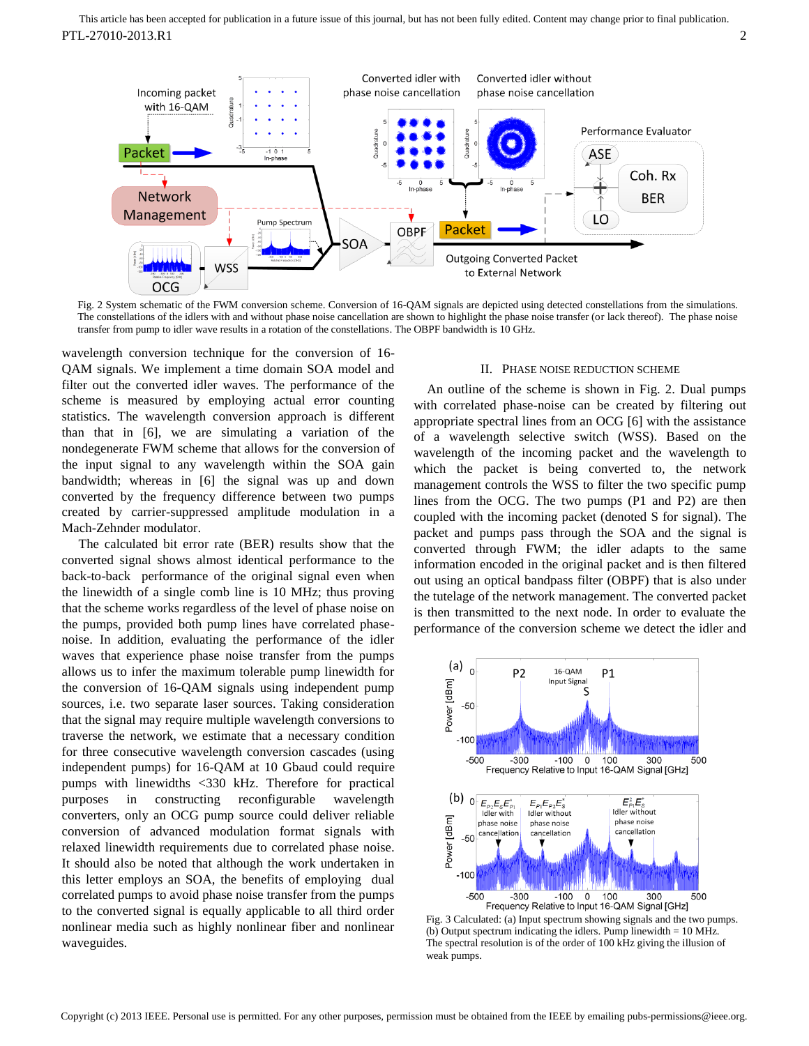

Fig. 2 System schematic of the FWM conversion scheme. Conversion of 16-QAM signals are depicted using detected constellations from the simulations. The constellations of the idlers with and without phase noise cancellation are shown to highlight the phase noise transfer (or lack thereof). The phase noise transfer from pump to idler wave results in a rotation of the constellations. The OBPF bandwidth is 10 GHz.

wavelength conversion technique for the conversion of 16- QAM signals. We implement a time domain SOA model and filter out the converted idler waves. The performance of the scheme is measured by employing actual error counting statistics. The wavelength conversion approach is different than that in [\[6\],](#page-3-5) we are simulating a variation of the nondegenerate FWM scheme that allows for the conversion of the input signal to any wavelength within the SOA gain bandwidth; whereas in [\[6\]](#page-3-5) the signal was up and down converted by the frequency difference between two pumps created by carrier-suppressed amplitude modulation in a Mach-Zehnder modulator.

The calculated bit error rate (BER) results show that the converted signal shows almost identical performance to the back-to-back performance of the original signal even when the linewidth of a single comb line is 10 MHz; thus proving that the scheme works regardless of the level of phase noise on the pumps, provided both pump lines have correlated phasenoise. In addition, evaluating the performance of the idler waves that experience phase noise transfer from the pumps allows us to infer the maximum tolerable pump linewidth for the conversion of 16-QAM signals using independent pump sources, i.e. two separate laser sources. Taking consideration that the signal may require multiple wavelength conversions to traverse the network, we estimate that a necessary condition for three consecutive wavelength conversion cascades (using independent pumps) for 16-QAM at 10 Gbaud could require pumps with linewidths <330 kHz. Therefore for practical purposes in constructing reconfigurable wavelength converters, only an OCG pump source could deliver reliable conversion of advanced modulation format signals with relaxed linewidth requirements due to correlated phase noise. It should also be noted that although the work undertaken in this letter employs an SOA, the benefits of employing dual correlated pumps to avoid phase noise transfer from the pumps to the converted signal is equally applicable to all third order nonlinear media such as highly nonlinear fiber and nonlinear waveguides.

# II. PHASE NOISE REDUCTION SCHEME

An outline of the scheme is shown in Fig. 2. Dual pumps with correlated phase-noise can be created by filtering out appropriate spectral lines from an OCG [6] with the assistance of a wavelength selective switch (WSS). Based on the wavelength of the incoming packet and the wavelength to which the packet is being converted to, the network management controls the WSS to filter the two specific pump lines from the OCG. The two pumps (P1 and P2) are then coupled with the incoming packet (denoted S for signal). The packet and pumps pass through the SOA and the signal is converted through FWM; the idler adapts to the same information encoded in the original packet and is then filtered out using an optical bandpass filter (OBPF) that is also under the tutelage of the network management. The converted packet is then transmitted to the next node. In order to evaluate the performance of the conversion scheme we detect the idler and



Fig. 3 Calculated: (a) Input spectrum showing signals and the two pumps. (b) Output spectrum indicating the idlers. Pump linewidth  $= 10$  MHz. The spectral resolution is of the order of 100 kHz giving the illusion of weak pumps.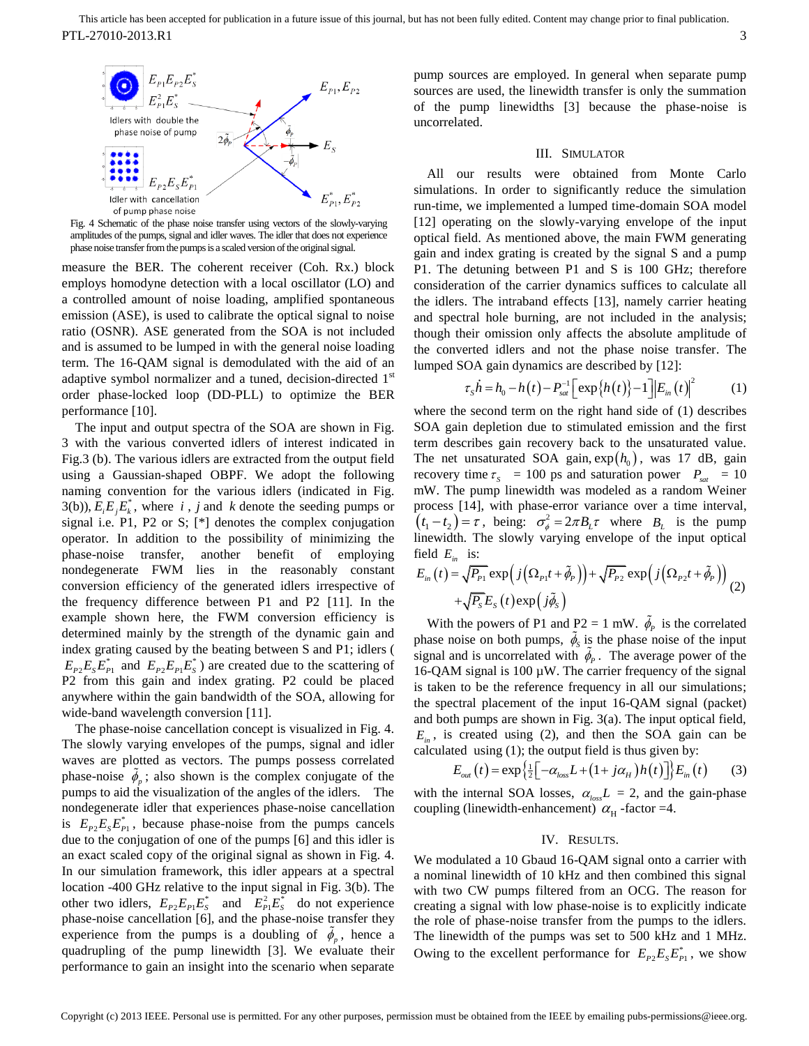

Fig. 4 Schematic of the phase noise transfer using vectors of the slowly-varying amplitudes of the pumps, signal and idler waves. The idler that does not experience phase noise transfer from the pumps is a scaled version of the original signal.

measure the BER. The coherent receiver (Coh. Rx.) block employs homodyne detection with a local oscillator (LO) and a controlled amount of noise loading, amplified spontaneous emission (ASE), is used to calibrate the optical signal to noise ratio (OSNR). ASE generated from the SOA is not included and is assumed to be lumped in with the general noise loading term. The 16-QAM signal is demodulated with the aid of an adaptive symbol normalizer and a tuned, decision-directed 1<sup>st</sup> order phase-locked loop (DD-PLL) to optimize the BER performance [\[10\].](#page-3-6)

The input and output spectra of the SOA are shown in Fig. 3 with the various converted idlers of interest indicated in Fig.3 (b). The various idlers are extracted from the output field using a Gaussian-shaped OBPF. We adopt the following naming convention for the various idlers (indicated in Fig. 3(b)),  $E_i E_j E_k^*$ , where *i*, *j* and *k* denote the seeding pumps or signal i.e. P1, P2 or S; [\*] denotes the complex conjugation operator. In addition to the possibility of minimizing the phase-noise transfer, another benefit of employing nondegenerate FWM lies in the reasonably constant conversion efficiency of the generated idlers irrespective of the frequency difference between P1 and P2 [\[11\].](#page-3-7) In the example shown here, the FWM conversion efficiency is determined mainly by the strength of the dynamic gain and index grating caused by the beating between S and P1; idlers (  $E_{p_2}E_sE_{p_1}^*$  and  $E_{p_2}E_{p_1}E_s^*$ ) are created due to the scattering of P2 from this gain and index grating. P2 could be placed anywhere within the gain bandwidth of the SOA, allowing for wide-band wavelength conversion [\[11\].](#page-3-7)

The phase-noise cancellation concept is visualized in Fig. 4. The slowly varying envelopes of the pumps, signal and idler waves are plotted as vectors. The pumps possess correlated phase-noise  $\phi_p$ ; also shown is the complex conjugate of the pumps to aid the visualization of the angles of the idlers. The nondegenerate idler that experiences phase-noise cancellation is  $E_{p2}E_s E_{p1}^*$ , because phase-noise from the pumps cancels due to the conjugation of one of the pumps [\[6\]](#page-3-5) and this idler is an exact scaled copy of the original signal as shown in Fig. 4. In our simulation framework, this idler appears at a spectral location -400 GHz relative to the input signal in Fig. 3(b). The other two idlers,  $E_{p_2}E_{p_1}E_s^*$  and  $E_{p_1}^2E_s^*$  do not experience phase-noise cancellation [\[6\],](#page-3-5) and the phase-noise transfer they experience from the pumps is a doubling of  $\phi_p$ , hence a quadrupling of the pump linewidth [\[3\].](#page-3-2) We evaluate their performance to gain an insight into the scenario when separate

pump sources are employed. In general when separate pump sources are used, the linewidth transfer is only the summation of the pump linewidths [\[3\]](#page-3-2) because the phase-noise is uncorrelated.

# III. SIMULATOR

All our results were obtained from Monte Carlo simulations. In order to significantly reduce the simulation run-time, we implemented a lumped time-domain SOA model [\[12\]](#page-3-8) operating on the slowly-varying envelope of the input optical field. As mentioned above, the main FWM generating gain and index grating is created by the signal S and a pump P1. The detuning between P1 and S is 100 GHz; therefore consideration of the carrier dynamics suffices to calculate all the idlers. The intraband effects [\[13\],](#page-3-9) namely carrier heating and spectral hole burning, are not included in the analysis; though their omission only affects the absolute amplitude of the converted idlers and not the phase noise transfer. The

lumped SOA gain dynamics are described by [12]:  
\n
$$
\tau_{s} \dot{h} = h_{0} - h(t) - P_{sat}^{-1} \left[ \exp\{h(t)\} - 1 \right] \left| E_{in}(t) \right|^{2} \qquad (1)
$$

where the second term on the right hand side of (1) describes SOA gain depletion due to stimulated emission and the first term describes gain recovery back to the unsaturated value. The net unsaturated SOA gain,  $exp(h_0)$ , was 17 dB, gain recovery time  $\tau_s = 100$  ps and saturation power  $P_{sat} = 10$ mW. The pump linewidth was modeled as a random Weiner process [\[14\],](#page-3-10) with phase-error variance over a time interval,  $(t_1 - t_2) = \tau$ , being:  $\sigma_{\phi}^2 = 2\pi B_L \tau$  where  $B_L$  is the pump linewidth. The slowly varying envelope of the input optical field  $E_{in}$  is:

field 
$$
E_{in}
$$
 is:  
\n
$$
E_{in}(t) = \sqrt{P_{p_1}} \exp\left(j\left(\Omega_{p_1}t + \tilde{\phi}_p\right)\right) + \sqrt{P_{p_2}} \exp\left(j\left(\Omega_{p_2}t + \tilde{\phi}_p\right)\right) + \sqrt{P_{s2}} \exp\left(j\left(\Omega_{p_2}t + \tilde{\phi}_p\right)\right)
$$
\n
$$
+ \sqrt{P_{s}} E_{s}(t) \exp\left(j\tilde{\phi}_{s}\right)
$$

With the powers of P1 and  $P2 = 1$  mW.  $\phi_p$  is the correlated phase noise on both pumps,  $\phi_s$  is the phase noise of the input signal and is uncorrelated with  $\phi_p$ . The average power of the 16-QAM signal is 100 µW. The carrier frequency of the signal is taken to be the reference frequency in all our simulations; the spectral placement of the input 16-QAM signal (packet) and both pumps are shown in Fig. 3(a). The input optical field,  $E_{in}$ , is created using (2), and then the SOA gain can be

calculated using (1); the output field is thus given by:  
\n
$$
E_{out}(t) = \exp{\left\{\frac{1}{2}\left[-\alpha_{loss}L + (1 + j\alpha_H)h(t)\right]\right\}}E_{in}(t)
$$
\n(3)

with the internal SOA losses,  $\alpha_{loss}L = 2$ , and the gain-phase coupling (linewidth-enhancement)  $\alpha_{\rm H}$ -factor =4.

### IV. RESULTS.

We modulated a 10 Gbaud 16-QAM signal onto a carrier with a nominal linewidth of 10 kHz and then combined this signal with two CW pumps filtered from an OCG. The reason for creating a signal with low phase-noise is to explicitly indicate the role of phase-noise transfer from the pumps to the idlers. The linewidth of the pumps was set to 500 kHz and 1 MHz. Owing to the excellent performance for  $E_{p_2}E_S E_{p_1}^*$ , we show